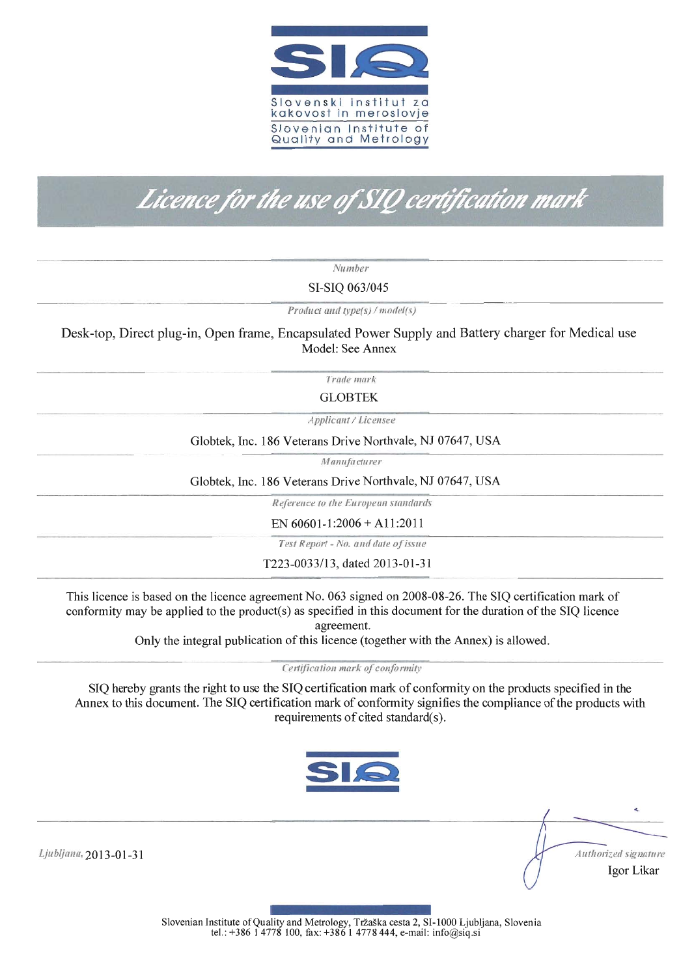

# Licence for the use of SIQ certification mark

*Number*

SI-SIQ *063/045*

*Product and type(s)* / *model(s)* 

Desk-top, Direct plug-in, Open frame, Encapsulated Power Supply and Battery charger for Medical use Model: See Annex

*Trade mark*

GLOBTEK

*Applicant/Licensee* 

Globtek, Inc. 186 Veterans Drive Northvale, NJ 07647, USA

lU*anufa cturer*

Globtek, Inc. 186 Veterans Drive Northvale, NJ 07647, USA

*Reference to tlte Europeall s'tll1u!ards*

EN  $60601 - 1:2006 + A11:2011$ 

*Test Report* - *No. alld date ofissue*

T223-0033/13, dated 2013-01-31

This licence is based on the licence agreement No. 063 signed on 2008-08-26. The SIQ certification mark of conformity may be applied to the product(s) as specified in this document for the duration ofthe SIQ licence agreement.

Only the integral publication ofthis licence (together with the Annex) is allowed.

*Certification mark of conformity* 

SIQ hereby grants the right to use the SIQ certification matk of conformity on the products specified in the Annex to this document. The SIQ certification mark of conformity signifies the compliance of the products with requirements of cited standard(s).



Ljubljana, 2013-01-31

*Aut/IlJlized signatllre* Igor Likar

Slovenian Institute of Quality and Metrology, Tržaška cesta 2, SI-1000 Ljubljana, Slovenia tel.: +386 1 4778 100, fax: +386 1 4778 444, e-mail: info@siq.si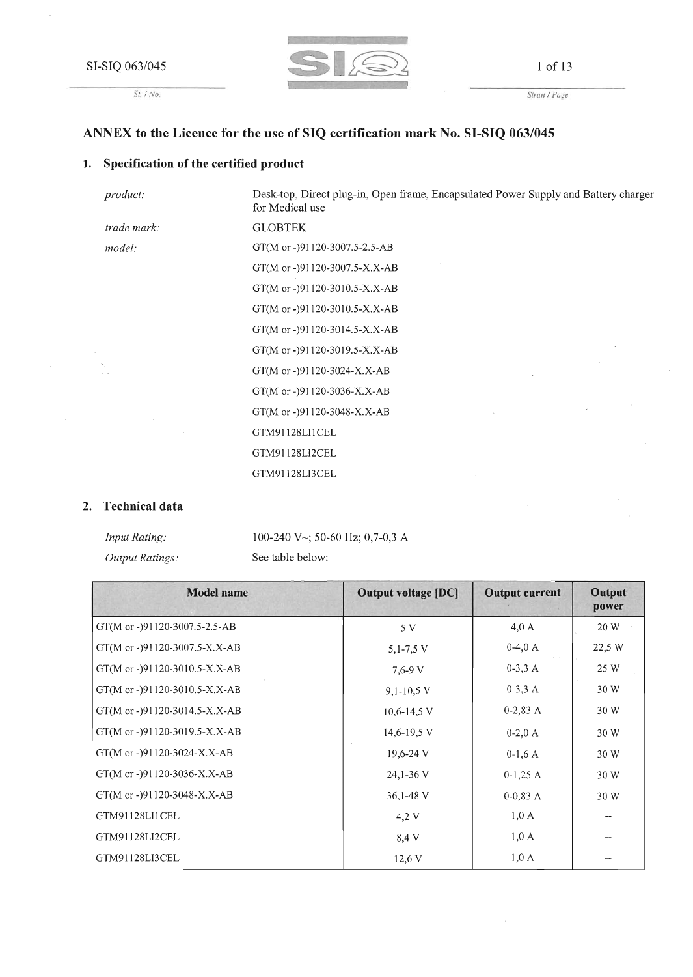*St. I No.*



1 of 13

*Stran I Page*

#### **ANNEX to the Licence for the use of SIQ certification mark No. SI-SIQ 063/045**

#### **1. Specification of the certified product**

*trade mark:*

*product:*

*model:*

Desk-top, Direct plug-in, Open frame, Encapsulated Power Supply and Battery charger for Medical use GLOBTEK GT(M or -)91120-3007.5-2.5-AB GT(M or -)91120-3007.5-X.X-AB GT(M or -)91120-3010.5-X.X-AB GT(M or -)91120-3010.5-X.X-AB GT(M or -)91120-3014.5-X.X-AB GT(M or -)91120-3019.5-X.X-AB GT(M or -)91120-3024-X.X-AB GT(M or -)91120-3036-X.X-AB GT(M or -)91120-3048-X.X-AB GTM91128LI1CEL GTM91128LI2CEL GTM91128LI3CEL

#### **2. Technical data**

| <i>Input Rating:</i>   | 100-240 V $\sim$ ; 50-60 Hz; 0,7-0,3 A |
|------------------------|----------------------------------------|
| <i>Output Ratings:</i> | See table below:                       |

| <b>Model name</b>             | <b>Output voltage [DC]</b> | <b>Output current</b> | <b>Output</b><br>power   |
|-------------------------------|----------------------------|-----------------------|--------------------------|
| GT(M or -)91120-3007.5-2.5-AB | 5 V                        | $4,0 \text{ A}$       | 20 W                     |
| GT(M or -)91120-3007.5-X.X-AB | $5,1-7,5$ V                | $0-4,0 A$             | 22,5 W                   |
| GT(M or -)91120-3010.5-X.X-AB | $7,6 - 9$ V                | $0-3,3 A$             | 25 W                     |
| GT(M or -)91120-3010.5-X.X-AB | $9,1-10,5$ V               | $0-3,3 A$             | 30 W                     |
| GT(M or -)91120-3014.5-X.X-AB | $10,6 - 14,5$ V            | $0-2,83$ A            | 30 W                     |
| GT(M or -)91120-3019.5-X.X-AB | 14,6-19,5 V                | $0-2,0 A$             | 30 W                     |
| GT(M or -)91120-3024-X.X-AB   | $19,6-24$ V                | $0-1,6A$              | 30 W                     |
| GT(M or -)91120-3036-X.X-AB   | 24,1-36 V                  | $0-1,25$ A            | 30 W                     |
| GT(M or -)91120-3048-X.X-AB   | 36,1-48 V                  | $0-0.83A$             | 30 W                     |
| GTM91128LI1CEL                | 4,2 V                      | $1,0 \text{ A}$       | $\overline{\phantom{a}}$ |
| GTM91128LI2CEL                | 8,4 V                      | $1,0 \text{ A}$       | $\overline{\phantom{m}}$ |
| GTM91128LI3CEL                | 12,6 V                     | $1,0 \text{ A}$       | $\overline{\phantom{m}}$ |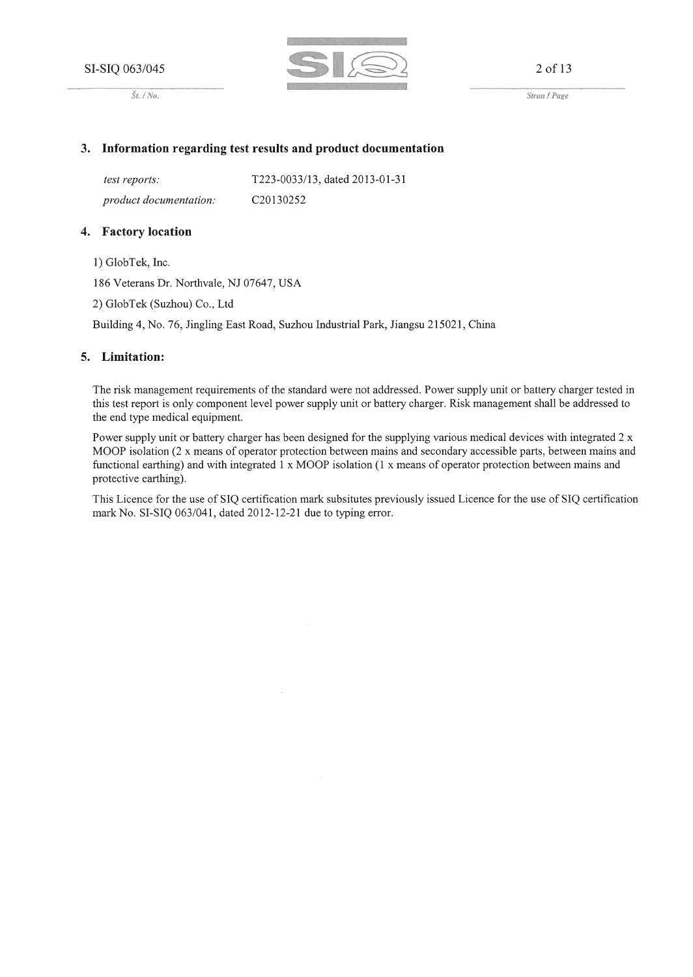





*Strall* / *Page*

#### **3. Information regarding test results and product documentation**

*test reports: product documentation:* T223-0033113, dated 2013-01-31 C20130252

#### **4. Factory location**

1) GlobTek, Inc.

186 Veterans Dr. Northvale, NJ 07647, USA

2) GlobTek (Suzhou) Co., Ltd

Building 4, No. 76, Jingling East Road, Suzhou Industrial Park, Jiangsu 215021, China

#### **5. Limitation:**

The risk management requirements of the standard were not addressed. Power supply unit or battery charger tested in this test report is only component level power supply unit or battery charger. Risk management shall be addressed to the end type medical equipment.

Power supply unit or battery charger has been designed for the supplying various medical devices with integrated 2 x MOOP isolation (2 x means of operator protection between mains and secondary accessible parts, between mains and functional earthing) and with integrated 1 x MOOP isolation (1 x means of operator protection between mains and protective earthing).

This Licence for the use of SIQ certification mark subsitutes previously issued Licence for the use of SIQ certification mark No. SI-SIQ 063/041, dated 2012-12-21 due to typing error.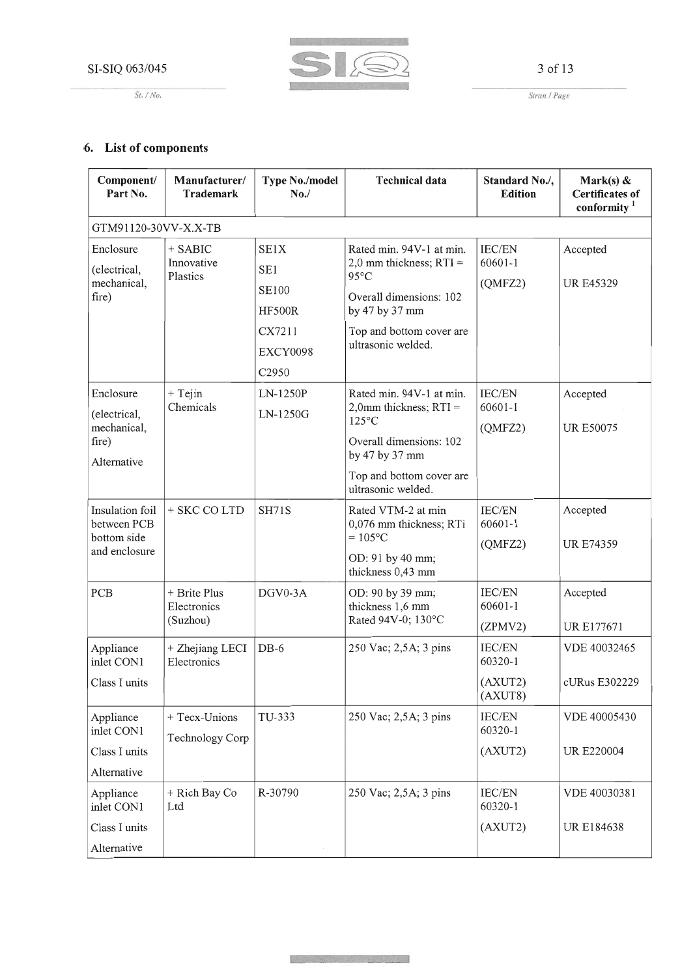*St.* / No.



3 of 13

*Strall* / *Page*

## **6. List of components**

| Component/<br>Part No.         | Manufacturer/<br><b>Trademark</b> | <b>Type No./model</b><br>No. | <b>Technical data</b>                                | Standard No./,<br><b>Edition</b> | Mark(s) $\&$<br><b>Certificates of</b><br>conformity <sup>1</sup> |
|--------------------------------|-----------------------------------|------------------------------|------------------------------------------------------|----------------------------------|-------------------------------------------------------------------|
| GTM91120-30VV-X.X-TB           |                                   |                              |                                                      |                                  |                                                                   |
| Enclosure                      | $+$ SABIC                         | SE1X                         | Rated min. 94V-1 at min.                             | IEC/EN                           | Accepted                                                          |
| (electrical,<br>mechanical,    | Innovative<br>Plastics            | SE1                          | 2,0 mm thickness; $RTI =$<br>95°C                    | $60601 - 1$<br>(OMFZ2)           |                                                                   |
| fire)                          |                                   | <b>SE100</b>                 | Overall dimensions: 102                              |                                  | <b>UR E45329</b>                                                  |
|                                |                                   | <b>HF500R</b>                | by 47 by 37 mm                                       |                                  |                                                                   |
|                                |                                   | CX7211                       | Top and bottom cover are<br>ultrasonic welded.       |                                  |                                                                   |
|                                |                                   | EXCY0098                     |                                                      |                                  |                                                                   |
|                                |                                   | C2950                        |                                                      |                                  |                                                                   |
| Enclosure                      | $+$ Tejin<br>Chemicals            | LN-1250P                     | Rated min. 94V-1 at min.<br>2,0mm thickness; $RTI =$ | IEC/EN<br>60601-1                | Accepted                                                          |
| (electrical,<br>mechanical,    |                                   | LN-1250G                     | $125^{\circ}$ C                                      | (QMFZ2)                          | <b>UR E50075</b>                                                  |
| fire)<br>Alternative           |                                   |                              | Overall dimensions: 102<br>by 47 by 37 mm            |                                  |                                                                   |
|                                |                                   |                              | Top and bottom cover are<br>ultrasonic welded.       |                                  |                                                                   |
| Insulation foil<br>between PCB | + SKC CO LTD                      | <b>SH71S</b>                 | Rated VTM-2 at min<br>0,076 mm thickness; RTi        | <b>IEC/EN</b><br>60601-1         | Accepted                                                          |
| bottom side<br>and enclosure   |                                   |                              | $= 105$ °C                                           | (QMFZ2)                          | <b>UR E74359</b>                                                  |
|                                |                                   |                              | OD: 91 by 40 mm;<br>thickness 0,43 mm                |                                  |                                                                   |
| PCB                            | + Brite Plus<br>Electronics       | DGV0-3A                      | OD: 90 by 39 mm;<br>thickness 1,6 mm                 | IEC/EN<br>60601-1                | Accepted                                                          |
|                                | (Suzhou)                          |                              | Rated 94V-0; 130°C                                   | (ZPMV2)                          | <b>URE177671</b>                                                  |
| Appliance<br>inlet CON1        | + Zhejiang LECI<br>Electronics    | $DB-6$                       | 250 Vac; 2,5A; 3 pins                                | <b>IEC/EN</b><br>60320-1         | VDE 40032465                                                      |
| Class I units                  |                                   |                              |                                                      | (AXUT2)<br>(AXUT8)               | cURus E302229                                                     |
| Appliance<br>inlet CON1        | + Tecx-Unions<br>Technology Corp  | TU-333                       | 250 Vac; 2,5A; 3 pins                                | <b>IEC/EN</b><br>60320-1         | VDE 40005430                                                      |
| Class I units                  |                                   |                              |                                                      | (AXUT2)                          | <b>UR E220004</b>                                                 |
| Alternative                    |                                   |                              |                                                      |                                  |                                                                   |
| Appliance<br>inlet CON1        | + Rich Bay Co<br>Ltd              | R-30790                      | 250 Vac; 2,5A; 3 pins                                | <b>IEC/EN</b><br>60320-1         | VDE 40030381                                                      |
| Class I units                  |                                   |                              |                                                      | (AXUT2)                          | UR E184638                                                        |
| Alternative                    |                                   |                              |                                                      |                                  |                                                                   |

والمحارب والمستوات والمستورثين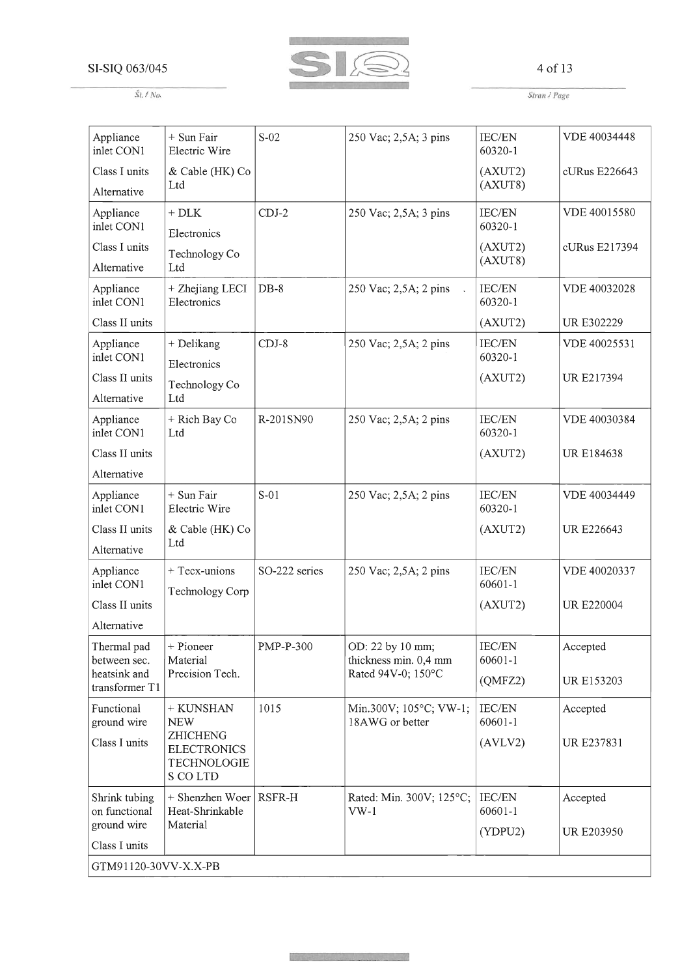Sf. *I No.*



#### 4 of 13

*Stran* / *Page* 

| Appliance<br>inlet CON1                       | + Sun Fair<br>Electric Wire                                      | $S-02$        | 250 Vac; 2,5A; 3 pins                     | <b>IEC/EN</b><br>60320-1 | VDE 40034448      |  |  |
|-----------------------------------------------|------------------------------------------------------------------|---------------|-------------------------------------------|--------------------------|-------------------|--|--|
| Class I units                                 | & Cable (HK) Co<br>Ltd                                           |               |                                           | (AXUT2)<br>(AXUT8)       | cURus E226643     |  |  |
| Alternative                                   |                                                                  |               |                                           |                          |                   |  |  |
| Appliance<br>inlet CON1                       | $+$ DLK<br>Electronics                                           | $CDJ-2$       | 250 Vac; 2,5A; 3 pins                     | IEC/EN<br>60320-1        | VDE 40015580      |  |  |
| Class I units<br>Alternative                  | Technology Co<br>Ltd                                             |               |                                           | (AXUT2)<br>(AXUT8)       | cURus E217394     |  |  |
| Appliance<br>inlet CON1                       | + Zhejiang LECI<br>Electronics                                   | $DB-8$        | 250 Vac; 2,5A; 2 pins                     | <b>IEC/EN</b><br>60320-1 | VDE 40032028      |  |  |
| Class II units                                |                                                                  |               |                                           | (AXUT2)                  | <b>URE302229</b>  |  |  |
| Appliance<br>inlet CON1                       | + Delikang<br>Electronics                                        | $CDJ-8$       | 250 Vac; 2,5A; 2 pins                     | IEC/EN<br>60320-1        | VDE 40025531      |  |  |
| Class II units<br>Alternative                 | Technology Co<br>Ltd                                             |               |                                           | (AXUT2)                  | UR E217394        |  |  |
| Appliance<br>inlet CON1                       | + Rich Bay Co<br>Ltd                                             | R-201SN90     | 250 Vac; 2,5A; 2 pins                     | <b>IEC/EN</b><br>60320-1 | VDE 40030384      |  |  |
| Class II units                                |                                                                  |               |                                           | (AXUT2)                  | <b>URE184638</b>  |  |  |
| Alternative                                   |                                                                  |               |                                           |                          |                   |  |  |
| Appliance<br>inlet CON1                       | + Sun Fair<br>Electric Wire                                      | $S-01$        | 250 Vac; 2,5A; 2 pins                     | <b>IEC/EN</b><br>60320-1 | VDE 40034449      |  |  |
| Class II units<br>Alternative                 | & Cable (HK) Co<br>Ltd                                           |               |                                           | (AXUT2)                  | <b>UR E226643</b> |  |  |
| Appliance<br>inlet CON1                       | $+$ Tecx-unions<br>Technology Corp                               | SO-222 series | 250 Vac; 2,5A; 2 pins                     | IEC/EN<br>60601-1        | VDE 40020337      |  |  |
| Class II units<br>Alternative                 |                                                                  |               |                                           | (AXUT2)                  | <b>UR E220004</b> |  |  |
| Thermal pad<br>between sec.                   | + Pioneer<br>Material                                            | PMP-P-300     | OD: 22 by 10 mm;<br>thickness min. 0,4 mm | IEC/EN<br>60601-1        | Accepted          |  |  |
| heatsink and<br>transformer T1                | Precision Tech.                                                  |               | Rated 94V-0; 150°C                        | (OMFZ2)                  | <b>UR E153203</b> |  |  |
| Functional<br>ground wire                     | + KUNSHAN<br><b>NEW</b>                                          | 1015          | Min.300V; 105°C; VW-1;<br>18AWG or better | IEC/EN<br>60601-1        | Accepted          |  |  |
| Class I units                                 | <b>ZHICHENG</b><br><b>ELECTRONICS</b><br>TECHNOLOGIE<br>S CO LTD |               |                                           | (AVLV2)                  | UR E237831        |  |  |
| Shrink tubing<br>on functional<br>ground wire | + Shenzhen Woer<br>Heat-Shrinkable<br>Material                   | <b>RSFR-H</b> | Rated: Min. 300V; 125°C;<br>$VW-1$        | <b>IEC/EN</b><br>60601-1 | Accepted          |  |  |
| Class I units                                 |                                                                  |               |                                           | (YDPU2)                  | <b>UR E203950</b> |  |  |
| GTM91120-30VV-X.X-PB                          |                                                                  |               |                                           |                          |                   |  |  |

ije područil i do pomoćni pravo u dosta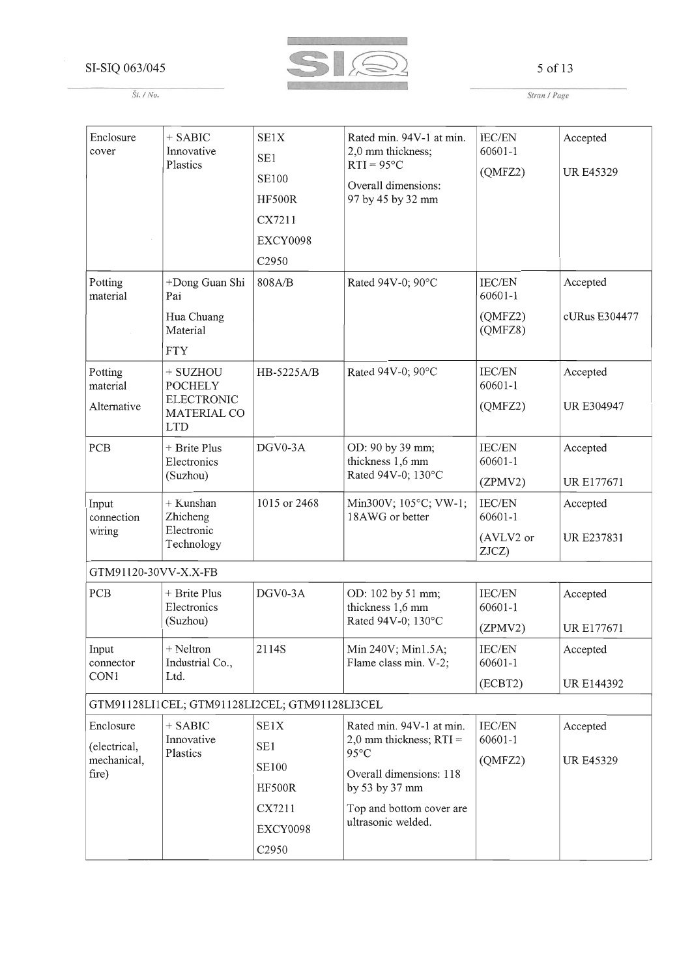

## 5 of 13

Stran / Page

| Enclosure<br>cover<br>Potting                     | $+$ SABIC<br>Innovative<br>Plastics<br>+Dong Guan Shi                               | SE1X<br>SE1<br><b>SE100</b><br><b>HF500R</b><br>CX7211<br>EXCY0098<br>C2950<br>808A/B | Rated min. 94V-1 at min.<br>2,0 mm thickness;<br>$RTI = 95°C$<br>Overall dimensions:<br>97 by 45 by 32 mm<br>Rated 94V-0; 90°C                                         | <b>IEC/EN</b><br>60601-1<br>(QMFZ2)<br>IEC/EN | Accepted<br><b>UR E45329</b><br>Accepted |
|---------------------------------------------------|-------------------------------------------------------------------------------------|---------------------------------------------------------------------------------------|------------------------------------------------------------------------------------------------------------------------------------------------------------------------|-----------------------------------------------|------------------------------------------|
| material                                          | Pai<br>Hua Chuang<br>Material<br><b>FTY</b>                                         |                                                                                       |                                                                                                                                                                        | 60601-1<br>(QMFZ2)<br>(QMFZ8)                 | cURus E304477                            |
| Potting<br>material<br>Alternative                | + SUZHOU<br><b>POCHELY</b><br><b>ELECTRONIC</b><br><b>MATERIAL CO</b><br><b>LTD</b> | HB-5225A/B                                                                            | Rated 94V-0; 90°C                                                                                                                                                      | IEC/EN<br>60601-1<br>(QMFZ2)                  | Accepted<br><b>UR E304947</b>            |
| PCB                                               | + Brite Plus<br>Electronics<br>(Suzhou)                                             | DGV0-3A                                                                               | OD: 90 by 39 mm;<br>thickness 1,6 mm<br>Rated 94V-0; 130°C                                                                                                             | <b>IEC/EN</b><br>60601-1<br>(ZPMV2)           | Accepted<br><b>URE177671</b>             |
| Input<br>connection<br>wiring                     | + Kunshan<br>Zhicheng<br>Electronic<br>Technology                                   | 1015 or 2468                                                                          | Min300V; 105°C; VW-1;<br>18AWG or better                                                                                                                               | IEC/EN<br>60601-1<br>(AVLV2 or<br>ZJCZ)       | Accepted<br><b>URE237831</b>             |
| GTM91120-30VV-X.X-FB                              |                                                                                     |                                                                                       |                                                                                                                                                                        |                                               |                                          |
| PCB                                               | + Brite Plus<br>Electronics<br>(Suzhou)                                             | DGV0-3A                                                                               | OD: 102 by 51 mm;<br>thickness 1,6 mm<br>Rated 94V-0; 130°C                                                                                                            | IEC/EN<br>60601-1<br>(ZPMV2)                  | Accepted<br><b>URE177671</b>             |
| Input<br>connector<br>CON1                        | + Neltron<br>Industrial Co.,<br>Ltd.                                                | 2114S                                                                                 | Min 240V; Min1.5A;<br>Flame class min. V-2;                                                                                                                            | <b>IEC/EN</b><br>60601-1<br>(ECBT2)           | Accepted<br>UR E144392                   |
|                                                   |                                                                                     | GTM91128LI1CEL; GTM91128LI2CEL; GTM91128LI3CEL                                        |                                                                                                                                                                        |                                               |                                          |
| Enclosure<br>(electrical,<br>mechanical,<br>fire) | $+$ SABIC<br>Innovative<br>Plastics                                                 | SE1X<br>SE <sub>1</sub><br>SE100<br><b>HF500R</b><br>CX7211<br>EXCY0098<br>C2950      | Rated min. 94V-1 at min.<br>2,0 mm thickness; $RTI =$<br>$95^{\circ}$ C<br>Overall dimensions: 118<br>by 53 by 37 mm<br>Top and bottom cover are<br>ultrasonic welded. | <b>IEC/EN</b><br>60601-1<br>(QMFZ2)           | Accepted<br><b>UR E45329</b>             |

 $\check{S}t.$  / No.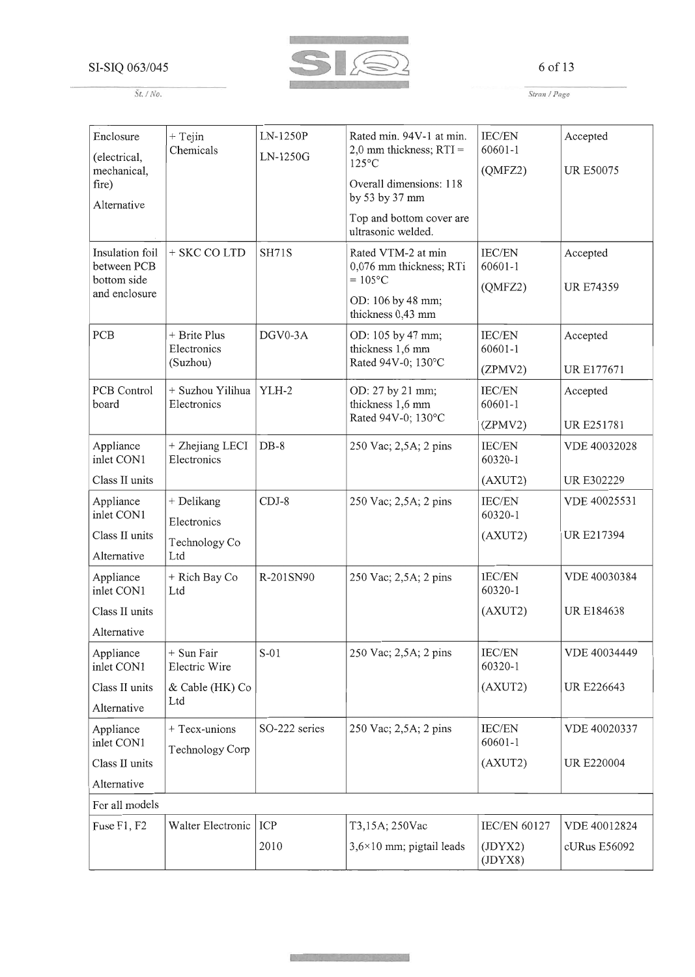

#### 6 of 13

*St./No.*

*Stran* / *Page*

| Enclosure<br>(electrical,      | $+$ Tejin<br>Chemicals          | LN-1250P<br>LN-1250G | Rated min. 94V-1 at min.<br>2,0 mm thickness; $RTI =$ | <b>IEC/EN</b><br>60601-1     | Accepted          |
|--------------------------------|---------------------------------|----------------------|-------------------------------------------------------|------------------------------|-------------------|
| mechanical,                    |                                 |                      | $125^{\circ}$ C                                       | (OMFZ2)                      | <b>UR E50075</b>  |
| fire)<br>Alternative           |                                 |                      | Overall dimensions: 118<br>by 53 by 37 mm             |                              |                   |
|                                |                                 |                      | Top and bottom cover are<br>ultrasonic welded.        |                              |                   |
| Insulation foil<br>between PCB | + SKC CO LTD                    | <b>SH71S</b>         | Rated VTM-2 at min<br>0,076 mm thickness; RTi         | IEC/EN<br>60601-1            | Accepted          |
| bottom side<br>and enclosure   |                                 |                      | $= 105$ °C                                            | (QMFZ2)                      | <b>UR E74359</b>  |
|                                |                                 |                      | OD: 106 by 48 mm;<br>thickness 0,43 mm                |                              |                   |
| PCB                            | + Brite Plus<br>Electronics     | DGV0-3A              | OD: 105 by 47 mm;<br>thickness 1,6 mm                 | <b>IEC/EN</b><br>$60601 - 1$ | Accepted          |
|                                | (Suzhou)                        |                      | Rated 94V-0; 130°C                                    | (ZPMV2)                      | <b>URE177671</b>  |
| PCB Control<br>board           | + Suzhou Yilihua<br>Electronics | YLH-2                | OD: 27 by 21 mm;<br>thickness 1,6 mm                  | <b>IEC/EN</b><br>60601-1     | Accepted          |
|                                |                                 |                      | Rated 94V-0; 130°C                                    | (ZPMV2)                      | UR E251781        |
| Appliance<br>inlet CON1        | + Zhejiang LECI<br>Electronics  | $DB-8$               | 250 Vac; 2,5A; 2 pins                                 | IEC/EN<br>60320-1            | VDE 40032028      |
| Class II units                 |                                 |                      |                                                       | (AXUT2)                      | <b>URE302229</b>  |
| Appliance<br>inlet CON1        | + Delikang                      | $CDJ-8$              | 250 Vac; 2,5A; 2 pins                                 | <b>IEC/EN</b><br>60320-1     | VDE 40025531      |
| Class II units                 | Electronics                     |                      |                                                       | (AXUT2)                      | <b>UR E217394</b> |
| Alternative                    | Technology Co<br>Ltd            |                      |                                                       |                              |                   |
| Appliance<br>inlet CON1        | + Rich Bay Co<br>Ltd            | R-201SN90            | 250 Vac; 2,5A; 2 pins                                 | <b>IEC/EN</b><br>60320-1     | VDE 40030384      |
| Class II units                 |                                 |                      |                                                       | (AXUT2)                      | <b>URE184638</b>  |
| Alternative                    |                                 |                      |                                                       |                              |                   |
| Appliance<br>inlet CON1        | $+$ Sun Fair<br>Electric Wire   | $S-01$               | 250 Vac; 2,5A; 2 pins                                 | IEC/EN<br>60320-1            | VDE 40034449      |
| Class II units                 | & Cable (HK) Co                 |                      |                                                       | (AXUT2)                      | <b>UR E226643</b> |
| Alternative                    | Ltd                             |                      |                                                       |                              |                   |
| Appliance                      | + Tecx-unions                   | SO-222 series        | 250 Vac; 2,5A; 2 pins                                 | IEC/EN                       | VDE 40020337      |
| inlet CON1                     | Technology Corp                 |                      |                                                       | 60601-1                      |                   |
| Class II units                 |                                 |                      |                                                       | (AXUT2)                      | <b>UR E220004</b> |
| Alternative                    |                                 |                      |                                                       |                              |                   |
| For all models                 |                                 |                      |                                                       |                              |                   |
| Fuse F1, F2                    | Walter Electronic               | ICP                  | T3,15A; 250Vac                                        | <b>IEC/EN 60127</b>          | VDE 40012824      |
|                                |                                 | 2010                 | $3,6 \times 10$ mm; pigtail leads                     | (JDYX2)<br>(JDYX8)           | cURus E56092      |

Nataly - Skiller water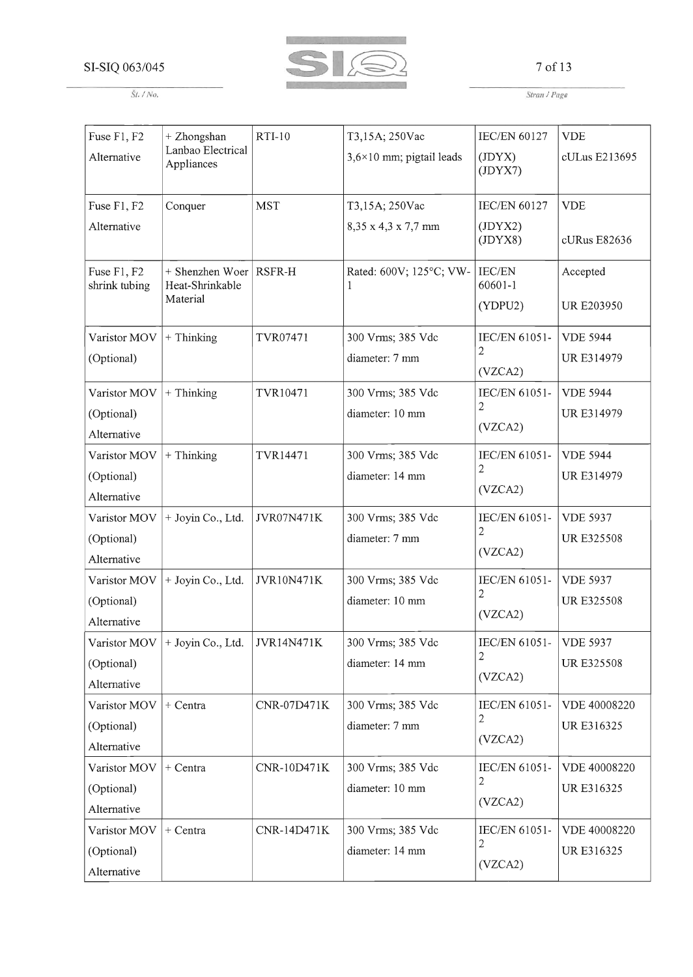*St.* / *No.*



#### 7 of 13

*Stran* / *Page*

| Fuse F1, F2                  | + Zhongshan                                    | <b>RTI-10</b>      | T3,15A; 250Vac                    | <b>IEC/EN 60127</b>  | <b>VDE</b>        |
|------------------------------|------------------------------------------------|--------------------|-----------------------------------|----------------------|-------------------|
| Alternative                  | Lanbao Electrical<br>Appliances                |                    | $3,6 \times 10$ mm; pigtail leads | (JDYX)<br>(JDYX7)    | cULus E213695     |
| Fuse F1, F2                  | Conquer                                        | <b>MST</b>         | T3,15A; 250Vac                    | <b>IEC/EN 60127</b>  | <b>VDE</b>        |
| Alternative                  |                                                |                    | 8,35 x 4,3 x 7,7 mm               | (JDYX2)<br>(JDYX8)   | cURus E82636      |
| Fuse F1, F2<br>shrink tubing | + Shenzhen Woer<br>Heat-Shrinkable<br>Material | RSFR-H             | Rated: 600V; 125°C; VW-           | IEC/EN<br>60601-1    | Accepted          |
|                              |                                                |                    |                                   | (YDPU2)              | <b>UR E203950</b> |
| Varistor MOV                 | + Thinking                                     | TVR07471           | 300 Vrms; 385 Vdc                 | IEC/EN 61051-        | <b>VDE 5944</b>   |
| (Optional)                   |                                                |                    | diameter: 7 mm                    | 2<br>(VZCA2)         | UR E314979        |
| Varistor MOV                 | $+$ Thinking                                   | TVR10471           | 300 Vrms; 385 Vdc                 | <b>IEC/EN 61051-</b> | <b>VDE 5944</b>   |
| (Optional)                   |                                                |                    | diameter: 10 mm                   | 2                    | UR E314979        |
| Alternative                  |                                                |                    |                                   | (VZCA2)              |                   |
| Varistor MOV                 | + Thinking                                     | TVR14471           | 300 Vrms; 385 Vdc                 | IEC/EN 61051-        | <b>VDE 5944</b>   |
| (Optional)                   |                                                |                    | diameter: 14 mm                   | $\overline{2}$       | <b>URE314979</b>  |
| Alternative                  |                                                |                    |                                   | (VZCA2)              |                   |
| Varistor MOV                 | + Joyin Co., Ltd.                              | JVR07N471K         | 300 Vrms; 385 Vdc                 | IEC/EN 61051-        | <b>VDE 5937</b>   |
| (Optional)                   |                                                |                    | diameter: 7 mm                    | 2                    | <b>URE325508</b>  |
| Alternative                  |                                                |                    |                                   | (VZCA2)              |                   |
| Varistor MOV                 | + Joyin Co., Ltd.                              | JVR10N471K         | 300 Vrms; 385 Vdc                 | IEC/EN 61051-        | <b>VDE 5937</b>   |
| (Optional)                   |                                                |                    | diameter: 10 mm                   | $\mathbf{2}$         | <b>URE325508</b>  |
| Alternative                  |                                                |                    |                                   | (VZCA2)              |                   |
|                              | Varistor MOV $+$ Joyin Co., Ltd. VVR14N471K    |                    | 300 Vrms; 385 Vdc                 | IEC/EN 61051-        | <b>VDE 5937</b>   |
| (Optional)                   |                                                |                    | diameter: 14 mm                   | 2<br>(VZCA2)         | <b>URE325508</b>  |
| Alternative                  |                                                |                    |                                   |                      |                   |
| Varistor MOV                 | + Centra                                       | CNR-07D471K        | 300 Vrms; 385 Vdc                 | IEC/EN 61051-        | VDE 40008220      |
| (Optional)                   |                                                |                    | diameter: 7 mm                    | 2                    | UR E316325        |
| Alternative                  |                                                |                    |                                   | (VZCA2)              |                   |
| Varistor MOV                 | + Centra                                       | <b>CNR-10D471K</b> | 300 Vrms; 385 Vdc                 | IEC/EN 61051-        | VDE 40008220      |
| (Optional)                   |                                                |                    | diameter: 10 mm                   | $\overline{2}$       | UR E316325        |
| Alternative                  |                                                |                    |                                   | (VZCA2)              |                   |
| Varistor MOV                 | + Centra                                       | <b>CNR-14D471K</b> | 300 Vrms; 385 Vdc                 | IEC/EN 61051-        | VDE 40008220      |
| (Optional)                   |                                                |                    | diameter: 14 mm                   | 2                    | UR E316325        |
| Alternative                  |                                                |                    |                                   | (VZCA2)              |                   |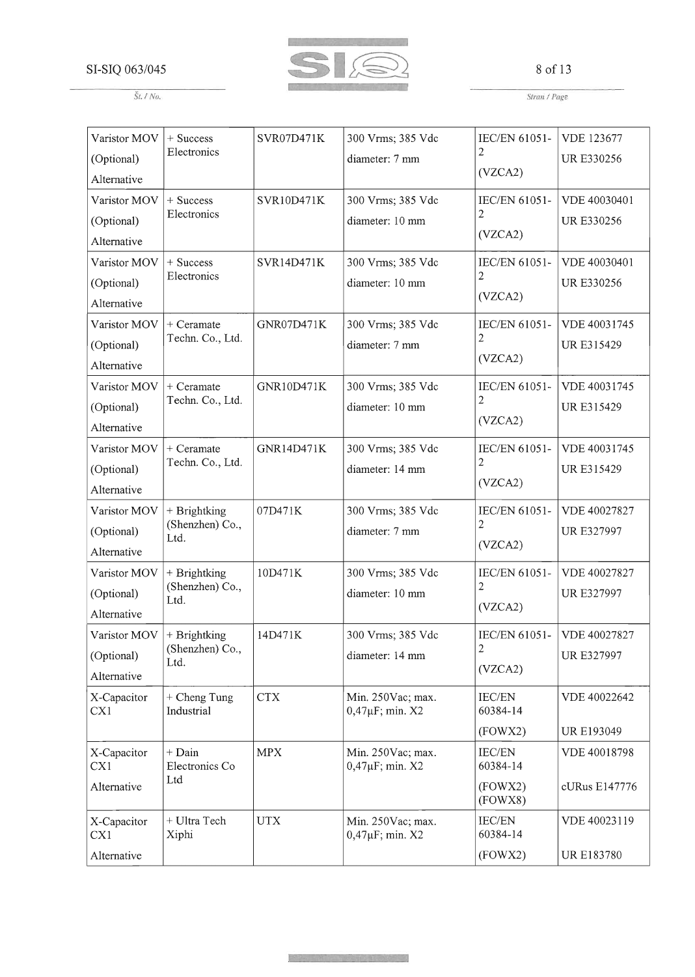

## 8 of 13

*St.* / *No.*

*Strall* / *Page*

| Varistor MOV       | + Success                    | <b>SVR07D471K</b> | 300 Vrms; 385 Vdc                           | IEC/EN 61051-                | <b>VDE 123677</b> |
|--------------------|------------------------------|-------------------|---------------------------------------------|------------------------------|-------------------|
| (Optional)         | Electronics                  |                   | diameter: 7 mm                              | 2                            | <b>URE330256</b>  |
| Alternative        |                              |                   |                                             | (VZCA2)                      |                   |
| Varistor MOV       | + Success                    | SVR10D471K        | 300 Vrms; 385 Vdc                           | IEC/EN 61051-                | VDE 40030401      |
| (Optional)         | Electronics                  |                   | diameter: 10 mm                             | 2                            | <b>UR E330256</b> |
| Alternative        |                              |                   |                                             | (VZCA2)                      |                   |
| Varistor MOV       | + Success                    | SVR14D471K        | 300 Vrms; 385 Vdc                           | IEC/EN 61051-                | VDE 40030401      |
| (Optional)         | Electronics                  |                   | diameter: 10 mm                             | 2                            | UR E330256        |
| Alternative        |                              |                   |                                             | (VZCA2)                      |                   |
| Varistor MOV       | + Ceramate                   | GNR07D471K        | 300 Vrms; 385 Vdc                           | IEC/EN 61051-                | VDE 40031745      |
| (Optional)         | Techn. Co., Ltd.             |                   | diameter: 7 mm                              | 2                            | UR E315429        |
| Alternative        |                              |                   |                                             | (VZCA2)                      |                   |
| Varistor MOV       | + Ceramate                   | GNR10D471K        | 300 Vrms; 385 Vdc                           | IEC/EN 61051-                | VDE 40031745      |
| (Optional)         | Techn. Co., Ltd.             |                   | diameter: 10 mm                             | 2                            | <b>URE315429</b>  |
| Alternative        |                              |                   |                                             | (VZCA2)                      |                   |
| Varistor MOV       | $+$ Ceramate                 | GNR14D471K        | 300 Vrms; 385 Vdc                           | IEC/EN 61051-                | VDE 40031745      |
| (Optional)         | Techn. Co., Ltd.             |                   | diameter: 14 mm                             | 2                            | UR E315429        |
| Alternative        |                              |                   |                                             | (VZCA2)                      |                   |
| Varistor MOV       | + Brightking                 | 07D471K           | 300 Vrms; 385 Vdc                           | IEC/EN 61051-                | VDE 40027827      |
| (Optional)         | (Shenzhen) Co.,<br>Ltd.      |                   | diameter: 7 mm                              | 2                            | UR E327997        |
| Alternative        |                              |                   |                                             | (VZCA2)                      |                   |
| Varistor MOV       | + Brightking                 | 10D471K           | 300 Vrms; 385 Vdc                           | IEC/EN 61051-                | VDE 40027827      |
| (Optional)         | (Shenzhen) Co.,<br>Ltd.      |                   | diameter: 10 mm                             | 2                            | <b>UR E327997</b> |
| Alternative        |                              |                   |                                             | (VZCA2)                      |                   |
| Varistor MOV       | + Brightking                 | 14D471K           | 300 Vrms; 385 Vdc                           | IEC/EN 61051-   VDE 40027827 |                   |
| (Optional)         | (Shenzhen) Co.,<br>Ltd.      |                   | diameter: 14 mm                             | 2                            | <b>UR E327997</b> |
| Alternative        |                              |                   |                                             | (VZCA2)                      |                   |
| X-Capacitor<br>CX1 | $+$ Cheng Tung<br>Industrial | <b>CTX</b>        | Min. 250Vac; max.<br>$0,47 \mu F$ ; min. X2 | IEC/EN<br>60384-14           | VDE 40022642      |
|                    |                              |                   |                                             | (FOWX2)                      | <b>UR E193049</b> |
| X-Capacitor<br>CX1 | $+$ Dain<br>Electronics Co   | <b>MPX</b>        | Min. 250Vac; max.<br>0,47µF; min. X2        | IEC/EN<br>60384-14           | VDE 40018798      |
| Alternative        | Ltd                          |                   |                                             | (FOWX2)<br>(FOWX8)           | cURus E147776     |
| X-Capacitor<br>CX1 | + Ultra Tech<br>Xiphi        | <b>UTX</b>        | Min. 250Vac; max.<br>$0,47 \mu F$ ; min. X2 | <b>IEC/EN</b><br>60384-14    | VDE 40023119      |
| Alternative        |                              |                   |                                             | (FOWX2)                      | <b>UR E183780</b> |

**Report in the search of the Marine**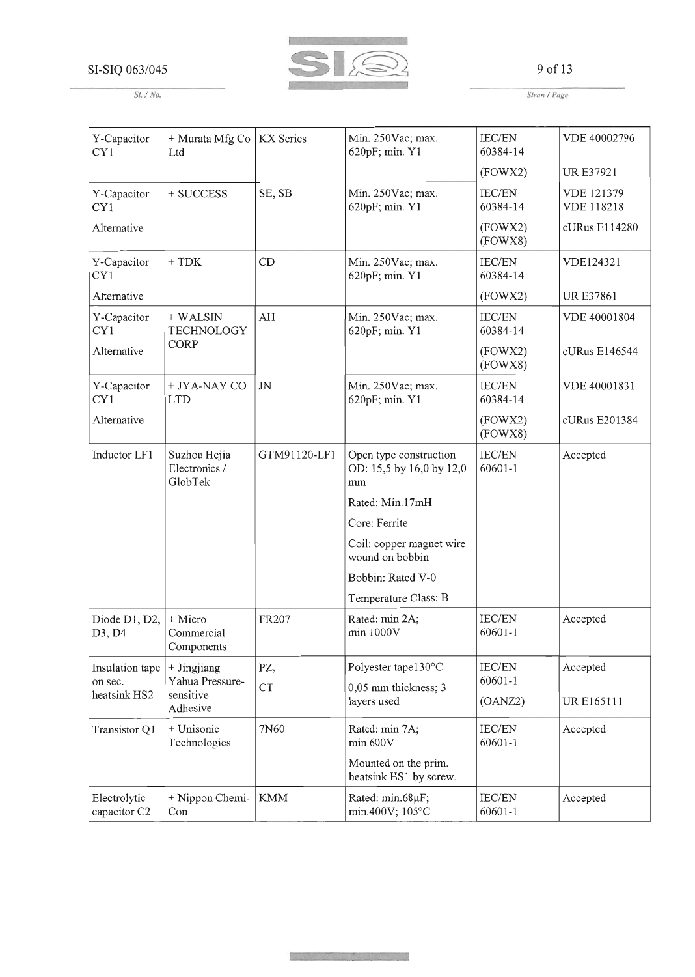

9 of 13

*Stran* / *Page*

| Y-Capacitor<br>CY1           | + Murata Mfg Co<br>Ltd                   | <b>KX</b> Series | Min. 250Vac; max.<br>620pF; min. Y1                      | <b>IEC/EN</b><br>60384-14 | VDE 40002796                           |
|------------------------------|------------------------------------------|------------------|----------------------------------------------------------|---------------------------|----------------------------------------|
|                              |                                          |                  |                                                          | (FOWX2)                   | <b>URE37921</b>                        |
| Y-Capacitor<br>CY1           | + SUCCESS                                | SE, SB           | Min. 250Vac; max.<br>620pF; min. Y1                      | IEC/EN<br>60384-14        | <b>VDE 121379</b><br><b>VDE 118218</b> |
| Alternative                  |                                          |                  |                                                          | (FOWX2)<br>(FOWX8)        | cURus E114280                          |
| Y-Capacitor<br>CY1           | $+ TDK$                                  | CD               | Min. 250Vac; max.<br>620pF; min. Y1                      | <b>IEC/EN</b><br>60384-14 | VDE124321                              |
| Alternative                  |                                          |                  |                                                          | (FOWX2)                   | <b>URE37861</b>                        |
| Y-Capacitor<br>CY1           | + WALSIN<br><b>TECHNOLOGY</b>            | AH               | Min. 250Vac; max.<br>620pF; min. Y1                      | <b>IEC/EN</b><br>60384-14 | VDE 40001804                           |
| Alternative                  | CORP                                     |                  |                                                          | (FOWX2)<br>(FOWX8)        | cURus E146544                          |
| Y-Capacitor<br>CY1           | + JYA-NAY CO<br><b>LTD</b>               | $J\!N$           | Min. 250Vac; max.<br>620pF; min. Y1                      | IEC/EN<br>60384-14        | VDE 40001831                           |
| Alternative                  |                                          |                  |                                                          | (FOWX2)<br>(FOWX8)        | cURus E201384                          |
| Inductor LF1                 | Suzhou Hejia<br>Electronics /<br>GlobTek | GTM91120-LF1     | Open type construction<br>OD: 15,5 by 16,0 by 12,0<br>mm | IEC/EN<br>60601-1         | Accepted                               |
|                              |                                          |                  | Rated: Min.17mH                                          |                           |                                        |
|                              |                                          |                  | Core: Ferrite                                            |                           |                                        |
|                              |                                          |                  | Coil: copper magnet wire<br>wound on bobbin              |                           |                                        |
|                              |                                          |                  | Bobbin: Rated V-0                                        |                           |                                        |
|                              |                                          |                  | Temperature Class: B                                     |                           |                                        |
| Diode D1, D2,<br>D3, D4      | + Micro<br>Commercial<br>Components      | FR207            | Rated: min 2A;<br>min 1000V                              | <b>IEC/EN</b><br>60601-1  | Accepted                               |
| Insulation tape              | + Jingjiang                              | PZ,              | Polyester tape130°C                                      | <b>IEC/EN</b>             | Accepted                               |
| on sec.<br>heatsink HS2      | Yahua Pressure-<br>sensitive<br>Adhesive | <b>CT</b>        | 0,05 mm thickness; 3<br>layers used                      | 60601-1<br>(OANZ2)        | <b>URE165111</b>                       |
| Transistor Q1                | + Unisonic<br>Technologies               | 7N60             | Rated: min 7A;<br>min 600V                               | IEC/EN<br>60601-1         | Accepted                               |
|                              |                                          |                  | Mounted on the prim.<br>heatsink HS1 by screw.           |                           |                                        |
| Electrolytic<br>capacitor C2 | + Nippon Chemi-<br>Con                   | <b>KMM</b>       | Rated: min.68µF;<br>min.400V; 105°C                      | <b>IEC/EN</b><br>60601-1  | Accepted                               |

**MARK SMARK AND STAR** 

*St.* / *No.*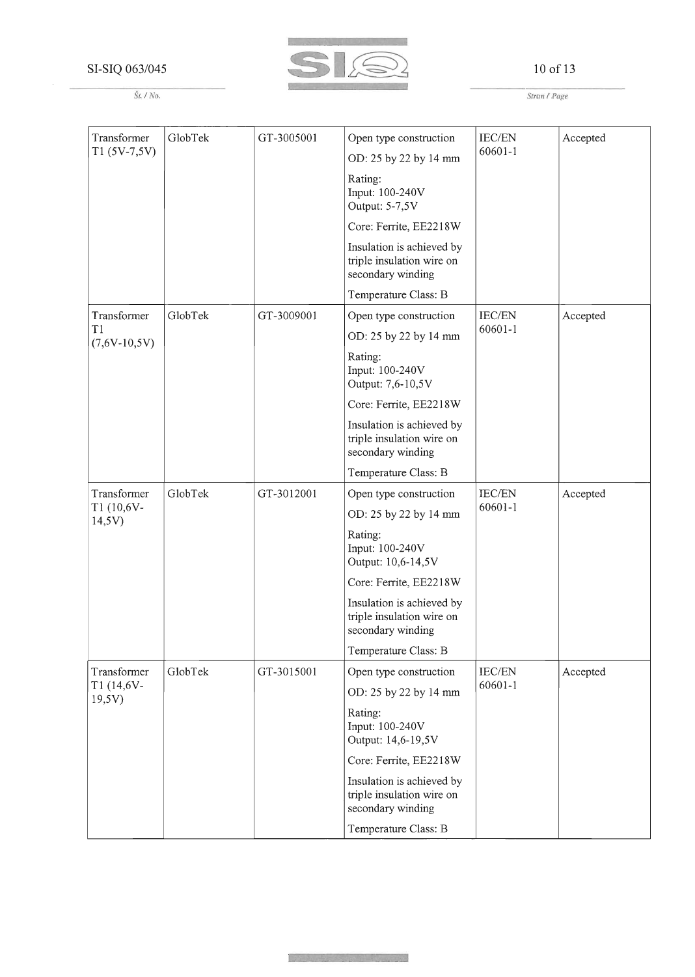

## 10 of 13

*Strall* / *Page*

| Transformer          | GlobTek | GT-3005001 | Open type construction                                                      | <b>IEC/EN</b> | Accepted |
|----------------------|---------|------------|-----------------------------------------------------------------------------|---------------|----------|
| $T1(5V-7,5V)$        |         |            | OD: 25 by 22 by 14 mm                                                       | 60601-1       |          |
|                      |         |            | Rating:<br>Input: 100-240V<br>Output: 5-7,5V                                |               |          |
|                      |         |            | Core: Ferrite, EE2218W                                                      |               |          |
|                      |         |            | Insulation is achieved by<br>triple insulation wire on<br>secondary winding |               |          |
|                      |         |            | Temperature Class: B                                                        |               |          |
| Transformer          | GlobTek | GT-3009001 | Open type construction                                                      | IEC/EN        | Accepted |
| T1<br>$(7,6V-10,5V)$ |         |            | OD: 25 by 22 by 14 mm                                                       | $60601 - 1$   |          |
|                      |         |            | Rating:<br>Input: 100-240V<br>Output: 7,6-10,5V                             |               |          |
|                      |         |            | Core: Ferrite, EE2218W                                                      |               |          |
|                      |         |            | Insulation is achieved by<br>triple insulation wire on<br>secondary winding |               |          |
|                      |         |            | Temperature Class: B                                                        |               |          |
| Transformer          | GlobTek | GT-3012001 | Open type construction                                                      | <b>IEC/EN</b> | Accepted |
| T1 (10,6V-<br>14,5V) |         |            | OD: 25 by 22 by 14 mm                                                       | 60601-1       |          |
|                      |         |            | Rating:<br>Input: 100-240V<br>Output: 10,6-14,5V                            |               |          |
|                      |         |            | Core: Ferrite, EE2218W                                                      |               |          |
|                      |         |            | Insulation is achieved by<br>triple insulation wire on<br>secondary winding |               |          |
|                      |         |            | Temperature Class: B                                                        |               |          |
| Transformer          | GlobTek | GT-3015001 | Open type construction                                                      | IEC/EN        | Accepted |
| T1 (14,6V-<br>19,5V) |         |            | OD: 25 by 22 by 14 mm                                                       | $60601 - 1$   |          |
|                      |         |            | Rating:<br>Input: 100-240V<br>Output: 14,6-19,5V                            |               |          |
|                      |         |            | Core: Ferrite, EE2218W                                                      |               |          |
|                      |         |            | Insulation is achieved by<br>triple insulation wire on<br>secondary winding |               |          |
|                      |         |            | Temperature Class: B                                                        |               |          |

أمنيه تستحيضه أروائهم يتماسح والمرام والمنافق

*St.* / *No.*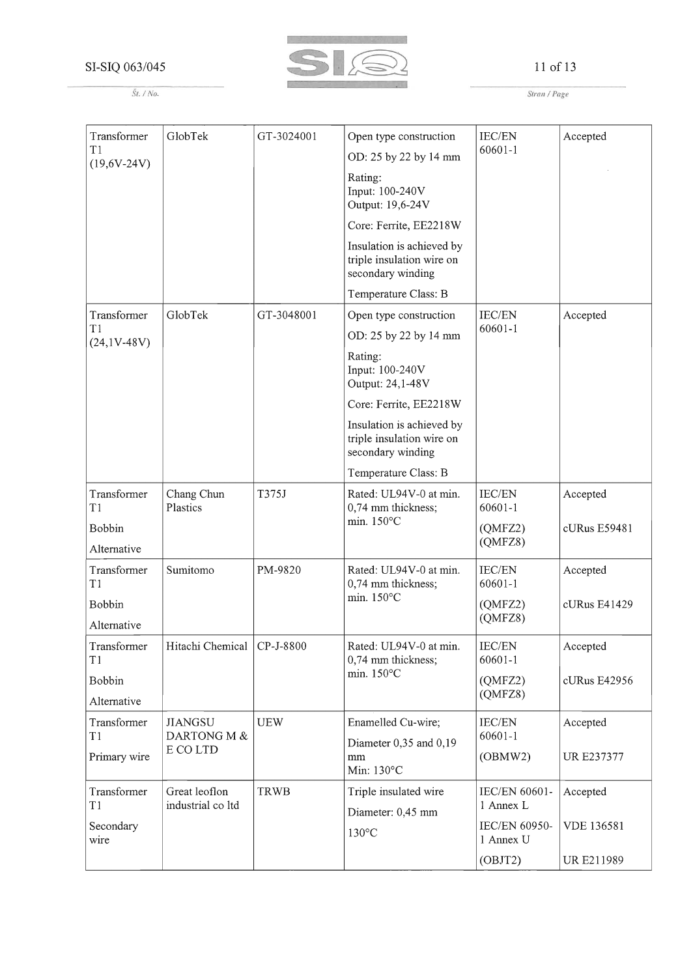

#### *St.* / No.

11 of 13

*Stran* / *Page*

| Transformer         | GlobTek                       | GT-3024001  | Open type construction                                                      | IEC/EN                       | Accepted          |
|---------------------|-------------------------------|-------------|-----------------------------------------------------------------------------|------------------------------|-------------------|
| T1<br>$(19,6V-24V)$ |                               |             | OD: 25 by 22 by 14 mm                                                       | 60601-1                      |                   |
|                     |                               |             | Rating:<br>Input: 100-240V<br>Output: 19,6-24V                              |                              |                   |
|                     |                               |             | Core: Ferrite, EE2218W                                                      |                              |                   |
|                     |                               |             | Insulation is achieved by<br>triple insulation wire on<br>secondary winding |                              |                   |
|                     |                               |             | Temperature Class: B                                                        |                              |                   |
| Transformer         | GlobTek                       | GT-3048001  | Open type construction                                                      | <b>IEC/EN</b>                | Accepted          |
| T1<br>$(24,1V-48V)$ |                               |             | OD: 25 by 22 by 14 mm                                                       | $60601 - 1$                  |                   |
|                     |                               |             | Rating:<br>Input: 100-240V<br>Output: 24,1-48V                              |                              |                   |
|                     |                               |             | Core: Ferrite, EE2218W                                                      |                              |                   |
|                     |                               |             | Insulation is achieved by<br>triple insulation wire on<br>secondary winding |                              |                   |
|                     |                               |             | Temperature Class: B                                                        |                              |                   |
| Transformer<br>T1   | Chang Chun<br>Plastics        | T375J       | Rated: UL94V-0 at min.<br>0,74 mm thickness;                                | <b>IEC/EN</b><br>60601-1     | Accepted          |
| Bobbin              |                               |             | min. 150°C                                                                  | (QMFZ2)                      | cURus E59481      |
| Alternative         |                               |             |                                                                             | (OMFZ8)                      |                   |
| Transformer<br>T1   | Sumitomo                      | PM-9820     | Rated: UL94V-0 at min.<br>0,74 mm thickness;                                | IEC/EN<br>60601-1            | Accepted          |
| Bobbin              |                               |             | min. 150°C                                                                  | (QMFZ2)                      | cURus E41429      |
| Alternative         |                               |             |                                                                             | (QMFZ8)                      |                   |
| Transformer<br>T1   | Hitachi Chemical              | CP-J-8800   | Rated: UL94V-0 at min.<br>0,74 mm thickness;                                | IEC/EN<br>$60601 - 1$        | Accepted          |
| Bobbin              |                               |             | min. 150°C                                                                  | (QMFZ2)                      | cURus E42956      |
| Alternative         |                               |             |                                                                             | (QMFZ8)                      |                   |
| Transformer<br>T1   | <b>JIANGSU</b><br>DARTONG M & | <b>UEW</b>  | Enamelled Cu-wire;<br>Diameter 0,35 and 0,19                                | <b>IEC/EN</b><br>$60601 - 1$ | Accepted          |
| Primary wire        | E CO LTD                      |             | mm<br>Min: 130°C                                                            | (OBMW2)                      | UR E237377        |
| Transformer         | Great leoflon                 | <b>TRWB</b> | Triple insulated wire                                                       | IEC/EN 60601-                | Accepted          |
| T1                  | industrial co ltd             |             | Diameter: 0,45 mm                                                           | 1 Annex L                    |                   |
| Secondary<br>wire   |                               |             | $130^{\circ}$ C                                                             | IEC/EN 60950-<br>1 Annex U   | <b>VDE 136581</b> |
|                     |                               |             |                                                                             | (OBIT2)                      | UR E211989        |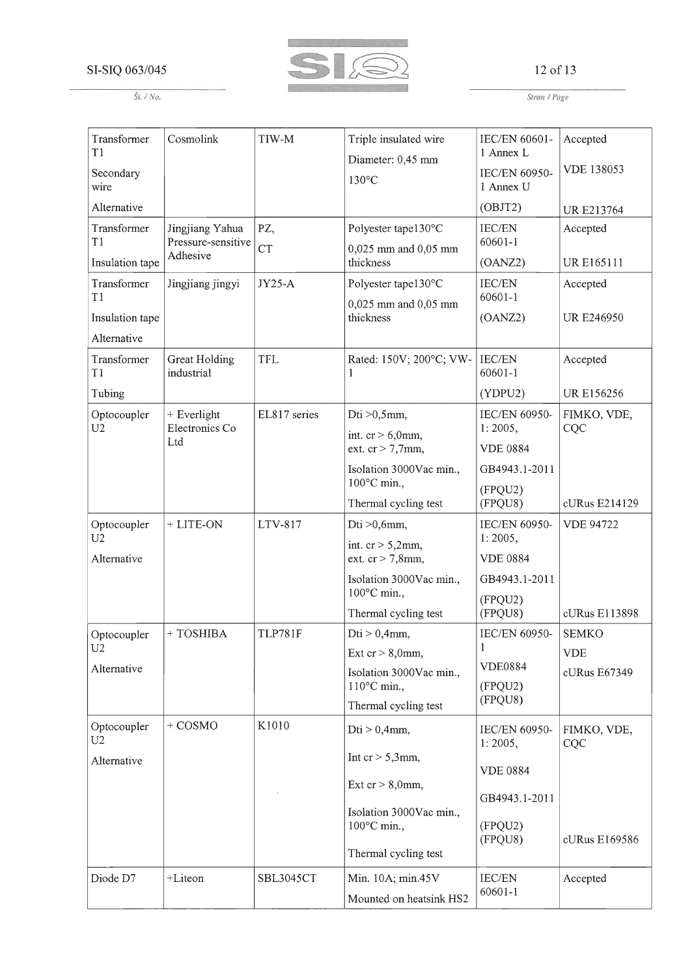

#### 12 of 13

*St.* / *No.*

*Stran* / *Page*

| Transformer<br>T <sub>1</sub>  | Cosmolink                             | TIW-M            | Triple insulated wire                            | IEC/EN 60601-<br>1 Annex L | Accepted           |
|--------------------------------|---------------------------------------|------------------|--------------------------------------------------|----------------------------|--------------------|
| Secondary<br>wire              |                                       |                  | Diameter: 0,45 mm<br>$130^{\circ}$ C             | IEC/EN 60950-<br>1 Annex U | <b>VDE 138053</b>  |
| Alternative                    |                                       |                  |                                                  | (OBIT2)                    | <b>URE213764</b>   |
| Transformer<br>T1              | Jingjiang Yahua<br>Pressure-sensitive | PZ,<br><b>CT</b> | Polyester tape130°C<br>0,025 mm and 0,05 mm      | <b>IEC/EN</b><br>60601-1   | Accepted           |
| Insulation tape                | Adhesive                              |                  | thickness                                        | (OANZ2)                    | UR E165111         |
| Transformer<br>T1              | Jingjiang jingyi                      | <b>JY25-A</b>    | Polyester tape130°C<br>0,025 mm and 0,05 mm      | IEC/EN<br>60601-1          | Accepted           |
| Insulation tape<br>Alternative |                                       |                  | thickness                                        | (OANZ2)                    | <b>UR E246950</b>  |
| Transformer<br>T1              | Great Holding<br>industrial           | <b>TFL</b>       | Rated: 150V; 200°C; VW-<br>1                     | IEC/EN<br>60601-1          | Accepted           |
| Tubing                         |                                       |                  |                                                  | (YDPU2)                    | UR E156256         |
| Optocoupler<br>U <sub>2</sub>  | + Everlight<br>Electronics Co         | EL817 series     | Dti $>0,5$ mm,                                   | IEC/EN 60950-<br>1:2005,   | FIMKO, VDE,<br>CQC |
|                                | Ltd                                   |                  | int. $cr > 6,0$ mm,<br>ext. $cr > 7,7$ mm,       | <b>VDE 0884</b>            |                    |
|                                |                                       |                  | Isolation 3000Vac min.,                          | GB4943.1-2011              |                    |
|                                |                                       |                  | 100°C min.,<br>Thermal cycling test              | (FPQU2)<br>(FPQU8)         | cURus E214129      |
| Optocoupler<br>U <sub>2</sub>  | + LITE-ON                             | LTV-817          | Dti $>0,6$ mm,                                   | IEC/EN 60950-<br>1:2005,   | <b>VDE 94722</b>   |
| Alternative                    |                                       |                  | int. $cr > 5,2mm$ ,<br>ext. $cr > 7,8$ mm,       | <b>VDE 0884</b>            |                    |
|                                |                                       |                  | Isolation 3000Vac min.,<br>100°C min.,           | GB4943.1-2011              |                    |
|                                |                                       |                  | Thermal cycling test                             | (FPQU2)<br>(FPQU8)         | cURus E113898      |
| Optocoupler                    | +TOSHIBA                              | <b>TLP781F</b>   | $Dti > 0,4mm$ ,                                  | IEC/EN 60950-              | <b>SEMKO</b>       |
| U <sub>2</sub>                 |                                       |                  | Ext $cr > 8,0$ mm,                               | 1                          | <b>VDE</b>         |
| Alternative                    |                                       |                  | Isolation 3000Vac min.,<br>$110^{\circ}$ C min., | <b>VDE0884</b><br>(FPQU2)  | cURus E67349       |
|                                |                                       |                  | Thermal cycling test                             | (FPQU8)                    |                    |
| Optocoupler<br>U2              | $+$ COSMO                             | K1010            | $Dti > 0,4mm$ ,                                  | IEC/EN 60950-<br>1:2005,   | FIMKO, VDE,<br>CQC |
| Alternative                    |                                       |                  | Int $cr > 5,3$ mm,                               | <b>VDE 0884</b>            |                    |
|                                |                                       |                  | Ext $cr > 8,0$ mm,                               | GB4943.1-2011              |                    |
|                                |                                       |                  | Isolation 3000Vac min.,<br>100°C min.,           | (FPQU2)<br>(FPQU8)         | cURus E169586      |
|                                |                                       |                  | Thermal cycling test                             |                            |                    |
| Diode D7                       | +Liteon                               | SBL3045CT        | Min. 10A; min.45V                                | <b>IEC/EN</b>              | Accepted           |
|                                |                                       |                  | Mounted on heatsink HS2                          | 60601-1                    |                    |